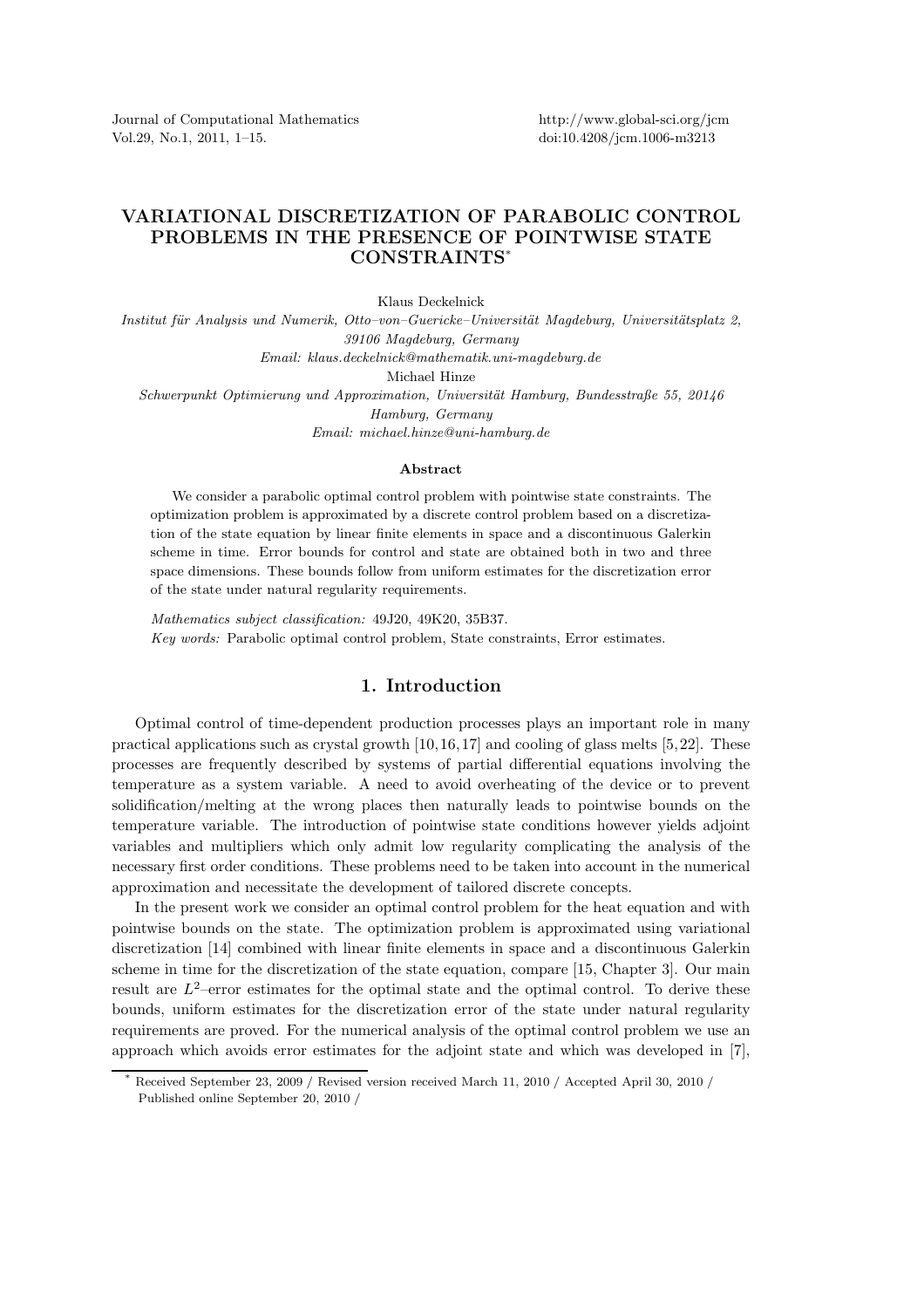Journal of Computational Mathematics Vol.29, No.1, 2011, 1–15.

## VARIATIONAL DISCRETIZATION OF PARABOLIC CONTROL PROBLEMS IN THE PRESENCE OF POINTWISE STATE CONSTRAINTS\*

Klaus Deckelnick

Institut für Analysis und Numerik, Otto–von–Guericke–Universität Magdeburg, Universitätsplatz 2, *39106 Magdeburg, Germany Email: klaus.deckelnick@mathematik.uni-magdeburg.de* Michael Hinze *Schwerpunkt Optimierung und Approximation, Universität Hamburg, Bundesstraße 55, 20146 Hamburg, Germany Email: michael.hinze@uni-hamburg.de*

## Abstract

We consider a parabolic optimal control problem with pointwise state constraints. The optimization problem is approximated by a discrete control problem based on a discretization of the state equation by linear finite elements in space and a discontinuous Galerkin scheme in time. Error bounds for control and state are obtained both in two and three space dimensions. These bounds follow from uniform estimates for the discretization error of the state under natural regularity requirements.

*Mathematics subject classification:* 49J20, 49K20, 35B37. *Key words:* Parabolic optimal control problem, State constraints, Error estimates.

## 1. Introduction

Optimal control of time-dependent production processes plays an important role in many practical applications such as crystal growth  $[10,16,17]$  and cooling of glass melts  $[5,22]$ . These processes are frequently described by systems of partial differential equations involving the temperature as a system variable. A need to avoid overheating of the device or to prevent solidification/melting at the wrong places then naturally leads to pointwise bounds on the temperature variable. The introduction of pointwise state conditions however yields adjoint variables and multipliers which only admit low regularity complicating the analysis of the necessary first order conditions. These problems need to be taken into account in the numerical approximation and necessitate the development of tailored discrete concepts.

In the present work we consider an optimal control problem for the heat equation and with pointwise bounds on the state. The optimization problem is approximated using variational discretization [14] combined with linear finite elements in space and a discontinuous Galerkin scheme in time for the discretization of the state equation, compare [15, Chapter 3]. Our main result are  $L^2$ -error estimates for the optimal state and the optimal control. To derive these bounds, uniform estimates for the discretization error of the state under natural regularity requirements are proved. For the numerical analysis of the optimal control problem we use an approach which avoids error estimates for the adjoint state and which was developed in [7],

<sup>\*</sup> Received September 23, 2009 / Revised version received March 11, 2010 / Accepted April 30, 2010 / Published online September 20, 2010 /